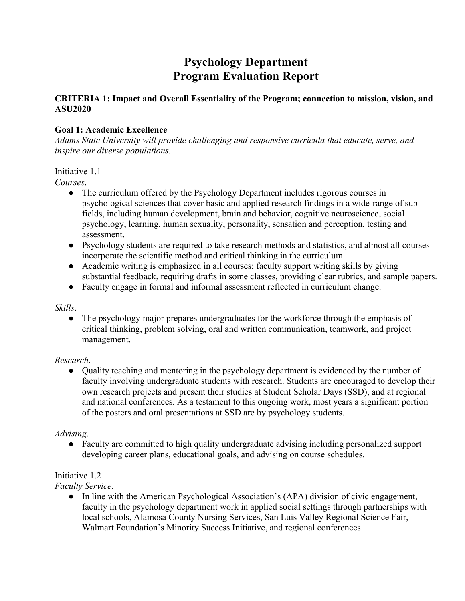# **Psychology Department Program Evaluation Report**

#### **CRITERIA 1: Impact and Overall Essentiality of the Program; connection to mission, vision, and ASU2020**

### **Goal 1: Academic Excellence**

*Adams State University will provide challenging and responsive curricula that educate, serve, and inspire our diverse populations.*

#### Initiative 1.1

*Courses*.

- The curriculum offered by the Psychology Department includes rigorous courses in psychological sciences that cover basic and applied research findings in a wide-range of subfields, including human development, brain and behavior, cognitive neuroscience, social psychology, learning, human sexuality, personality, sensation and perception, testing and assessment.
- Psychology students are required to take research methods and statistics, and almost all courses incorporate the scientific method and critical thinking in the curriculum.
- Academic writing is emphasized in all courses; faculty support writing skills by giving substantial feedback, requiring drafts in some classes, providing clear rubrics, and sample papers.
- Faculty engage in formal and informal assessment reflected in curriculum change.

#### *Skills*.

• The psychology major prepares undergraduates for the workforce through the emphasis of critical thinking, problem solving, oral and written communication, teamwork, and project management.

## *Research*.

● Quality teaching and mentoring in the psychology department is evidenced by the number of faculty involving undergraduate students with research. Students are encouraged to develop their own research projects and present their studies at Student Scholar Days (SSD), and at regional and national conferences. As a testament to this ongoing work, most years a significant portion of the posters and oral presentations at SSD are by psychology students.

#### *Advising*.

● Faculty are committed to high quality undergraduate advising including personalized support developing career plans, educational goals, and advising on course schedules.

## Initiative 1.2

*Faculty Service*.

● In line with the American Psychological Association's (APA) division of civic engagement, faculty in the psychology department work in applied social settings through partnerships with local schools, Alamosa County Nursing Services, San Luis Valley Regional Science Fair, Walmart Foundation's Minority Success Initiative, and regional conferences.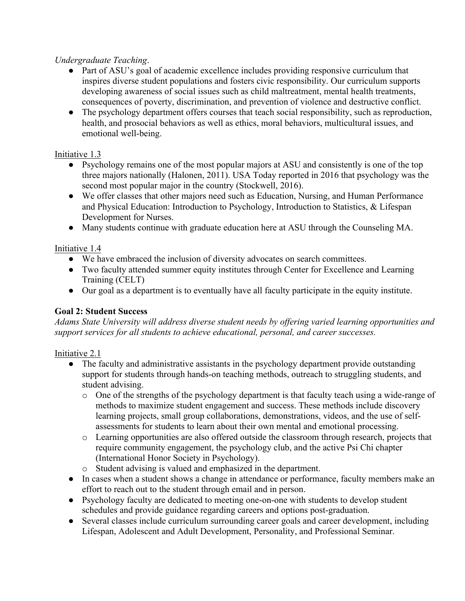#### *Undergraduate Teaching*.

- Part of ASU's goal of academic excellence includes providing responsive curriculum that inspires diverse student populations and fosters civic responsibility. Our curriculum supports developing awareness of social issues such as child maltreatment, mental health treatments, consequences of poverty, discrimination, and prevention of violence and destructive conflict.
- The psychology department offers courses that teach social responsibility, such as reproduction, health, and prosocial behaviors as well as ethics, moral behaviors, multicultural issues, and emotional well-being.

### Initiative 1.3

- Psychology remains one of the most popular majors at ASU and consistently is one of the top three majors nationally (Halonen, 2011). USA Today reported in 2016 that psychology was the second most popular major in the country (Stockwell, 2016).
- We offer classes that other majors need such as Education, Nursing, and Human Performance and Physical Education: Introduction to Psychology, Introduction to Statistics, & Lifespan Development for Nurses.
- Many students continue with graduate education here at ASU through the Counseling MA.

## Initiative 1.4

- We have embraced the inclusion of diversity advocates on search committees.
- Two faculty attended summer equity institutes through Center for Excellence and Learning Training (CELT)
- Our goal as a department is to eventually have all faculty participate in the equity institute.

## **Goal 2: Student Success**

*Adams State University will address diverse student needs by offering varied learning opportunities and support services for all students to achieve educational, personal, and career successes.*

#### Initiative 2.1

- The faculty and administrative assistants in the psychology department provide outstanding support for students through hands-on teaching methods, outreach to struggling students, and student advising.
	- $\circ$  One of the strengths of the psychology department is that faculty teach using a wide-range of methods to maximize student engagement and success. These methods include discovery learning projects, small group collaborations, demonstrations, videos, and the use of selfassessments for students to learn about their own mental and emotional processing.
	- o Learning opportunities are also offered outside the classroom through research, projects that require community engagement, the psychology club, and the active Psi Chi chapter (International Honor Society in Psychology).
	- o Student advising is valued and emphasized in the department.
- In cases when a student shows a change in attendance or performance, faculty members make an effort to reach out to the student through email and in person.
- Psychology faculty are dedicated to meeting one-on-one with students to develop student schedules and provide guidance regarding careers and options post-graduation.
- Several classes include curriculum surrounding career goals and career development, including Lifespan, Adolescent and Adult Development, Personality, and Professional Seminar.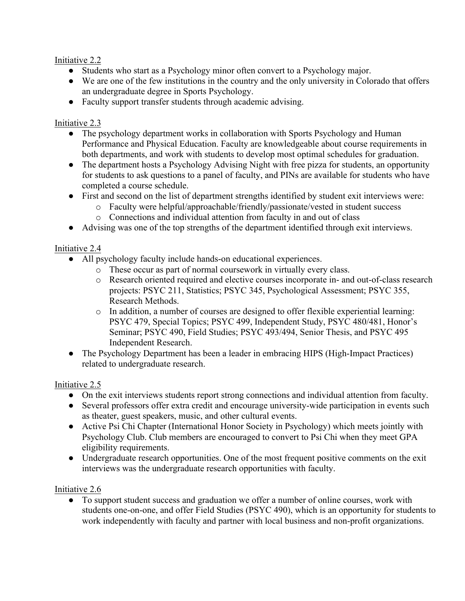### Initiative 2.2

- Students who start as a Psychology minor often convert to a Psychology major.
- We are one of the few institutions in the country and the only university in Colorado that offers an undergraduate degree in Sports Psychology.
- Faculty support transfer students through academic advising.

### Initiative 2.3

- The psychology department works in collaboration with Sports Psychology and Human Performance and Physical Education. Faculty are knowledgeable about course requirements in both departments, and work with students to develop most optimal schedules for graduation.
- The department hosts a Psychology Advising Night with free pizza for students, an opportunity for students to ask questions to a panel of faculty, and PINs are available for students who have completed a course schedule.
- First and second on the list of department strengths identified by student exit interviews were:
	- o Faculty were helpful/approachable/friendly/passionate/vested in student success
	- o Connections and individual attention from faculty in and out of class
- Advising was one of the top strengths of the department identified through exit interviews.

## Initiative 2.4

- All psychology faculty include hands-on educational experiences.
	- o These occur as part of normal coursework in virtually every class.
	- o Research oriented required and elective courses incorporate in- and out-of-class research projects: PSYC 211, Statistics; PSYC 345, Psychological Assessment; PSYC 355, Research Methods.
	- o In addition, a number of courses are designed to offer flexible experiential learning: PSYC 479, Special Topics; PSYC 499, Independent Study, PSYC 480/481, Honor's Seminar; PSYC 490, Field Studies; PSYC 493/494, Senior Thesis, and PSYC 495 Independent Research.
- The Psychology Department has been a leader in embracing HIPS (High-Impact Practices) related to undergraduate research.

## Initiative 2.5

- On the exit interviews students report strong connections and individual attention from faculty.
- Several professors offer extra credit and encourage university-wide participation in events such as theater, guest speakers, music, and other cultural events.
- Active Psi Chi Chapter (International Honor Society in Psychology) which meets jointly with Psychology Club. Club members are encouraged to convert to Psi Chi when they meet GPA eligibility requirements.
- Undergraduate research opportunities. One of the most frequent positive comments on the exit interviews was the undergraduate research opportunities with faculty.

## Initiative 2.6

● To support student success and graduation we offer a number of online courses, work with students one-on-one, and offer Field Studies (PSYC 490), which is an opportunity for students to work independently with faculty and partner with local business and non-profit organizations.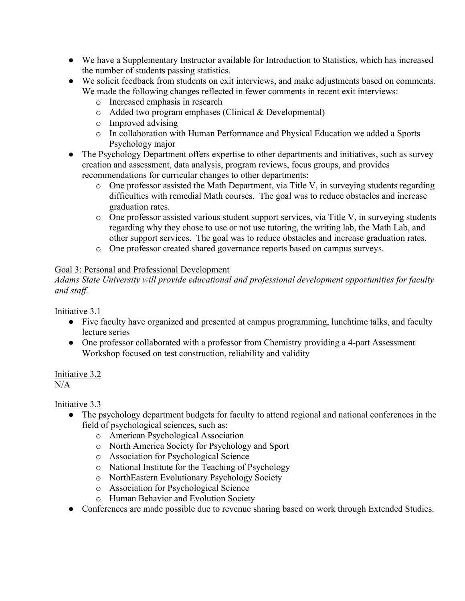- We have a Supplementary Instructor available for Introduction to Statistics, which has increased the number of students passing statistics.
- We solicit feedback from students on exit interviews, and make adjustments based on comments. We made the following changes reflected in fewer comments in recent exit interviews:
	- o Increased emphasis in research
	- o Added two program emphases (Clinical & Developmental)
	- o Improved advising
	- o In collaboration with Human Performance and Physical Education we added a Sports Psychology major
- The Psychology Department offers expertise to other departments and initiatives, such as survey creation and assessment, data analysis, program reviews, focus groups, and provides recommendations for curricular changes to other departments:
	- o One professor assisted the Math Department, via Title V, in surveying students regarding difficulties with remedial Math courses. The goal was to reduce obstacles and increase graduation rates.
	- o One professor assisted various student support services, via Title V, in surveying students regarding why they chose to use or not use tutoring, the writing lab, the Math Lab, and other support services. The goal was to reduce obstacles and increase graduation rates.
	- o One professor created shared governance reports based on campus surveys.

#### Goal 3: Personal and Professional Development

*Adams State University will provide educational and professional development opportunities for faculty and staff.*

Initiative 3.1

- Five faculty have organized and presented at campus programming, lunchtime talks, and faculty lecture series
- One professor collaborated with a professor from Chemistry providing a 4-part Assessment Workshop focused on test construction, reliability and validity

Initiative 3.2  $N/A$ 

#### Initiative 3.3

- The psychology department budgets for faculty to attend regional and national conferences in the field of psychological sciences, such as:
	- o American Psychological Association
	- o North America Society for Psychology and Sport
	- o Association for Psychological Science
	- o National Institute for the Teaching of Psychology
	- o NorthEastern Evolutionary Psychology Society
	- o Association for Psychological Science
	- o Human Behavior and Evolution Society
- Conferences are made possible due to revenue sharing based on work through Extended Studies.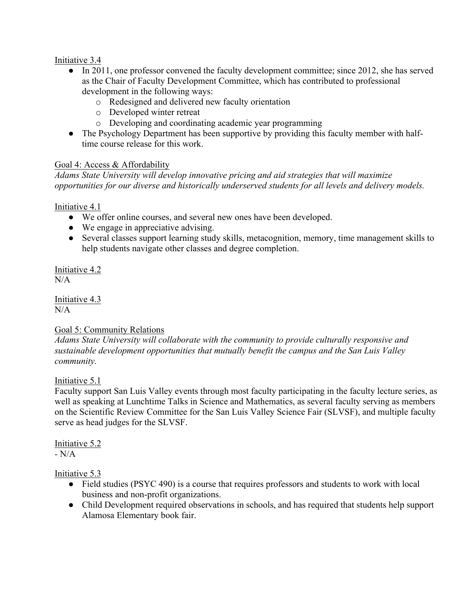### Initiative 3.4

- In 2011, one professor convened the faculty development committee; since 2012, she has served as the Chair of Faculty Development Committee, which has contributed to professional development in the following ways:
	- o Redesigned and delivered new faculty orientation
	- o Developed winter retreat
	- o Developing and coordinating academic year programming
- The Psychology Department has been supportive by providing this faculty member with halftime course release for this work.

### Goal 4: Access & Affordability

*Adams State University will develop innovative pricing and aid strategies that will maximize opportunities for our diverse and historically underserved students for all levels and delivery models.*

Initiative 4.1

- We offer online courses, and several new ones have been developed.
- We engage in appreciative advising.
- Several classes support learning study skills, metacognition, memory, time management skills to help students navigate other classes and degree completion.

Initiative 4.2  $N/A$ 

Initiative 4.3  $N/A$ 

## Goal 5: Community Relations

*Adams State University will collaborate with the community to provide culturally responsive and sustainable development opportunities that mutually benefit the campus and the San Luis Valley community.* 

## Initiative 5.1

Faculty support San Luis Valley events through most faculty participating in the faculty lecture series, as well as speaking at Lunchtime Talks in Science and Mathematics, as several faculty serving as members on the Scientific Review Committee for the San Luis Valley Science Fair (SLVSF), and multiple faculty serve as head judges for the SLVSF.

Initiative 5.2 *-* N/A

## Initiative 5.3

- Field studies (PSYC 490) is a course that requires professors and students to work with local business and non-profit organizations.
- Child Development required observations in schools, and has required that students help support Alamosa Elementary book fair.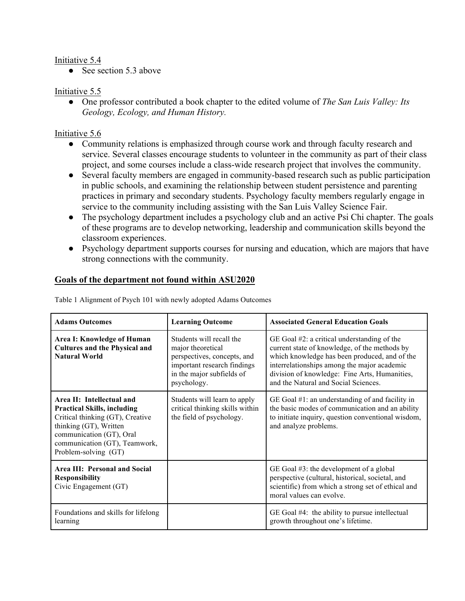#### Initiative 5.4

• See section 5.3 above

#### Initiative 5.5

● One professor contributed a book chapter to the edited volume of *The San Luis Valley: Its Geology, Ecology, and Human History.*

#### Initiative 5.6

- Community relations is emphasized through course work and through faculty research and service. Several classes encourage students to volunteer in the community as part of their class project, and some courses include a class-wide research project that involves the community.
- Several faculty members are engaged in community-based research such as public participation in public schools, and examining the relationship between student persistence and parenting practices in primary and secondary students. Psychology faculty members regularly engage in service to the community including assisting with the San Luis Valley Science Fair.
- The psychology department includes a psychology club and an active Psi Chi chapter. The goals of these programs are to develop networking, leadership and communication skills beyond the classroom experiences.
- Psychology department supports courses for nursing and education, which are majors that have strong connections with the community.

#### **Goals of the department not found within ASU2020**

| <b>Adams Outcomes</b>                                                                                                                                                                                              | <b>Learning Outcome</b>                                                                                                                                 | <b>Associated General Education Goals</b>                                                                                                                                                                                                                                             |
|--------------------------------------------------------------------------------------------------------------------------------------------------------------------------------------------------------------------|---------------------------------------------------------------------------------------------------------------------------------------------------------|---------------------------------------------------------------------------------------------------------------------------------------------------------------------------------------------------------------------------------------------------------------------------------------|
| Area I: Knowledge of Human<br><b>Cultures and the Physical and</b><br><b>Natural World</b>                                                                                                                         | Students will recall the<br>major theoretical<br>perspectives, concepts, and<br>important research findings<br>in the major subfields of<br>psychology. | GE Goal #2: a critical understanding of the<br>current state of knowledge, of the methods by<br>which knowledge has been produced, and of the<br>interrelationships among the major academic<br>division of knowledge: Fine Arts, Humanities,<br>and the Natural and Social Sciences. |
| Area II: Intellectual and<br><b>Practical Skills, including</b><br>Critical thinking (GT), Creative<br>thinking (GT), Written<br>communication (GT), Oral<br>communication (GT), Teamwork,<br>Problem-solving (GT) | Students will learn to apply<br>critical thinking skills within<br>the field of psychology.                                                             | GE Goal $#1$ : an understanding of and facility in<br>the basic modes of communication and an ability<br>to initiate inquiry, question conventional wisdom,<br>and analyze problems.                                                                                                  |
| Area III: Personal and Social<br><b>Responsibility</b><br>Civic Engagement (GT)                                                                                                                                    |                                                                                                                                                         | GE Goal #3: the development of a global<br>perspective (cultural, historical, societal, and<br>scientific) from which a strong set of ethical and<br>moral values can evolve.                                                                                                         |
| Foundations and skills for lifelong<br>learning                                                                                                                                                                    |                                                                                                                                                         | GE Goal #4: the ability to pursue intellectual<br>growth throughout one's lifetime.                                                                                                                                                                                                   |

Table 1 Alignment of Psych 101 with newly adopted Adams Outcomes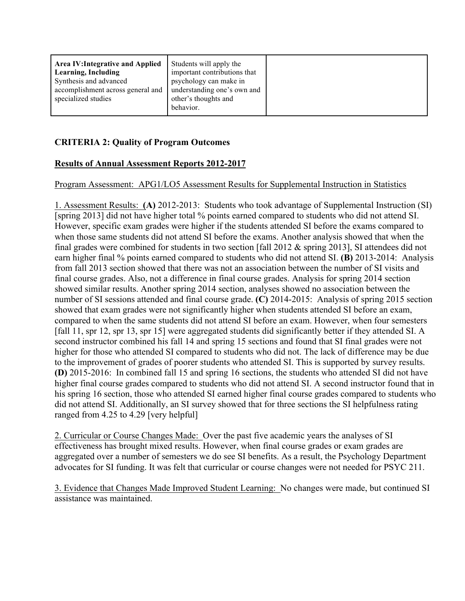### **CRITERIA 2: Quality of Program Outcomes**

### **Results of Annual Assessment Reports 2012-2017**

#### Program Assessment: APG1/LO5 Assessment Results for Supplemental Instruction in Statistics

1. Assessment Results: **(A)** 2012-2013: Students who took advantage of Supplemental Instruction (SI) [spring 2013] did not have higher total % points earned compared to students who did not attend SI. However, specific exam grades were higher if the students attended SI before the exams compared to when those same students did not attend SI before the exams. Another analysis showed that when the final grades were combined for students in two section [fall 2012 & spring 2013], SI attendees did not earn higher final % points earned compared to students who did not attend SI. **(B)** 2013-2014: Analysis from fall 2013 section showed that there was not an association between the number of SI visits and final course grades. Also, not a difference in final course grades. Analysis for spring 2014 section showed similar results. Another spring 2014 section, analyses showed no association between the number of SI sessions attended and final course grade. **(C)** 2014-2015: Analysis of spring 2015 section showed that exam grades were not significantly higher when students attended SI before an exam, compared to when the same students did not attend SI before an exam. However, when four semesters [fall 11, spr 12, spr 13, spr 15] were aggregated students did significantly better if they attended SI. A second instructor combined his fall 14 and spring 15 sections and found that SI final grades were not higher for those who attended SI compared to students who did not. The lack of difference may be due to the improvement of grades of poorer students who attended SI. This is supported by survey results. **(D)** 2015-2016: In combined fall 15 and spring 16 sections, the students who attended SI did not have higher final course grades compared to students who did not attend SI. A second instructor found that in his spring 16 section, those who attended SI earned higher final course grades compared to students who did not attend SI. Additionally, an SI survey showed that for three sections the SI helpfulness rating ranged from 4.25 to 4.29 [very helpful]

2. Curricular or Course Changes Made: Over the past five academic years the analyses of SI effectiveness has brought mixed results. However, when final course grades or exam grades are aggregated over a number of semesters we do see SI benefits. As a result, the Psychology Department advocates for SI funding. It was felt that curricular or course changes were not needed for PSYC 211.

3. Evidence that Changes Made Improved Student Learning: No changes were made, but continued SI assistance was maintained.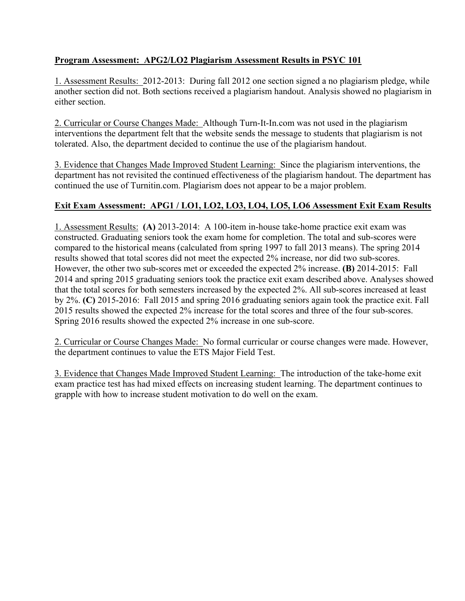## **Program Assessment: APG2/LO2 Plagiarism Assessment Results in PSYC 101**

1. Assessment Results: 2012-2013: During fall 2012 one section signed a no plagiarism pledge, while another section did not. Both sections received a plagiarism handout. Analysis showed no plagiarism in either section.

2. Curricular or Course Changes Made: Although Turn-It-In.com was not used in the plagiarism interventions the department felt that the website sends the message to students that plagiarism is not tolerated. Also, the department decided to continue the use of the plagiarism handout.

3. Evidence that Changes Made Improved Student Learning: Since the plagiarism interventions, the department has not revisited the continued effectiveness of the plagiarism handout. The department has continued the use of Turnitin.com. Plagiarism does not appear to be a major problem.

### **Exit Exam Assessment: APG1 / LO1, LO2, LO3, LO4, LO5, LO6 Assessment Exit Exam Results**

1. Assessment Results: **(A)** 2013-2014: A 100-item in-house take-home practice exit exam was constructed. Graduating seniors took the exam home for completion. The total and sub-scores were compared to the historical means (calculated from spring 1997 to fall 2013 means). The spring 2014 results showed that total scores did not meet the expected 2% increase, nor did two sub-scores. However, the other two sub-scores met or exceeded the expected 2% increase. **(B)** 2014-2015: Fall 2014 and spring 2015 graduating seniors took the practice exit exam described above. Analyses showed that the total scores for both semesters increased by the expected 2%. All sub-scores increased at least by 2%. **(C)** 2015-2016: Fall 2015 and spring 2016 graduating seniors again took the practice exit. Fall 2015 results showed the expected 2% increase for the total scores and three of the four sub-scores. Spring 2016 results showed the expected 2% increase in one sub-score.

2. Curricular or Course Changes Made: No formal curricular or course changes were made. However, the department continues to value the ETS Major Field Test.

3. Evidence that Changes Made Improved Student Learning: The introduction of the take-home exit exam practice test has had mixed effects on increasing student learning. The department continues to grapple with how to increase student motivation to do well on the exam.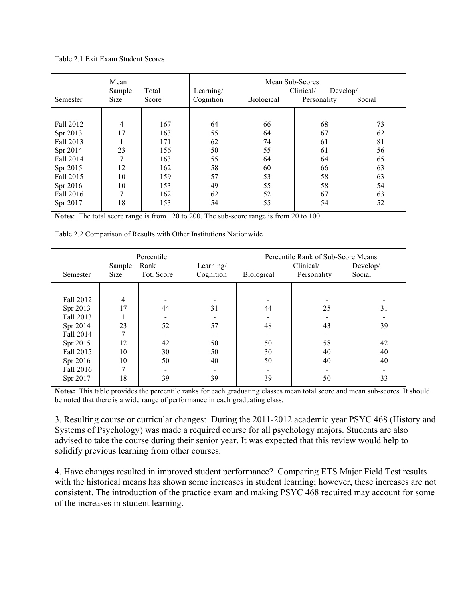Table 2.1 Exit Exam Student Scores

|           | Mean<br>Sample | Total | Learning/ | Mean Sub-Scores | Clinical/<br>Develop/ |        |
|-----------|----------------|-------|-----------|-----------------|-----------------------|--------|
| Semester  | <b>Size</b>    | Score | Cognition | Biological      | Personality           | Social |
|           |                |       |           |                 |                       |        |
| Fall 2012 | $\overline{4}$ | 167   | 64        | 66              | 68                    | 73     |
| Spr 2013  | 17             | 163   | 55        | 64              | 67                    | 62     |
| Fall 2013 |                | 171   | 62        | 74              | 61                    | 81     |
| Spr 2014  | 23             | 156   | 50        | 55              | 61                    | 56     |
| Fall 2014 | $\mathcal{I}$  | 163   | 55        | 64              | 64                    | 65     |
| Spr 2015  | 12             | 162   | 58        | 60              | 66                    | 63     |
| Fall 2015 | 10             | 159   | 57        | 53              | 58                    | 63     |
| Spr 2016  | 10             | 153   | 49        | 55              | 58                    | 54     |
| Fall 2016 | $\mathcal{I}$  | 162   | 62        | 52              | 67                    | 63     |
| Spr 2017  | 18             | 153   | 54        | 55              | 54                    | 52     |

**Notes**: The total score range is from 120 to 200. The sub-score range is from 20 to 100.

| Table 2.2 Comparison of Results with Other Institutions Nationwide |  |
|--------------------------------------------------------------------|--|
|--------------------------------------------------------------------|--|

| Semester  | Sample<br>Size | Percentile<br>Rank<br>Tot. Score | Learning/<br>Cognition | Biological | Percentile Rank of Sub-Score Means<br>Clinical/<br>Personality | Develop/<br>Social |
|-----------|----------------|----------------------------------|------------------------|------------|----------------------------------------------------------------|--------------------|
|           |                |                                  |                        |            |                                                                |                    |
| Fall 2012 | 4              |                                  |                        |            |                                                                |                    |
| Spr 2013  | 17             | 44                               | 31                     | 44         | 25                                                             | 31                 |
| Fall 2013 |                |                                  |                        |            |                                                                |                    |
| Spr 2014  | 23             | 52                               | 57                     | 48         | 43                                                             | 39                 |
| Fall 2014 |                |                                  |                        |            |                                                                |                    |
| Spr 2015  | 12             | 42                               | 50                     | 50         | 58                                                             | 42                 |
| Fall 2015 | 10             | 30                               | 50                     | 30         | 40                                                             | 40                 |
| Spr 2016  | 10             | 50                               | 40                     | 50         | 40                                                             | 40                 |
| Fall 2016 |                |                                  |                        |            |                                                                |                    |
| Spr 2017  | 18             | 39                               | 39                     | 39         | 50                                                             | 33                 |

**Notes:** This table provides the percentile ranks for each graduating classes mean total score and mean sub-scores. It should be noted that there is a wide range of performance in each graduating class.

3. Resulting course or curricular changes: During the 2011-2012 academic year PSYC 468 (History and Systems of Psychology) was made a required course for all psychology majors. Students are also advised to take the course during their senior year. It was expected that this review would help to solidify previous learning from other courses.

4. Have changes resulted in improved student performance? Comparing ETS Major Field Test results with the historical means has shown some increases in student learning; however, these increases are not consistent. The introduction of the practice exam and making PSYC 468 required may account for some of the increases in student learning.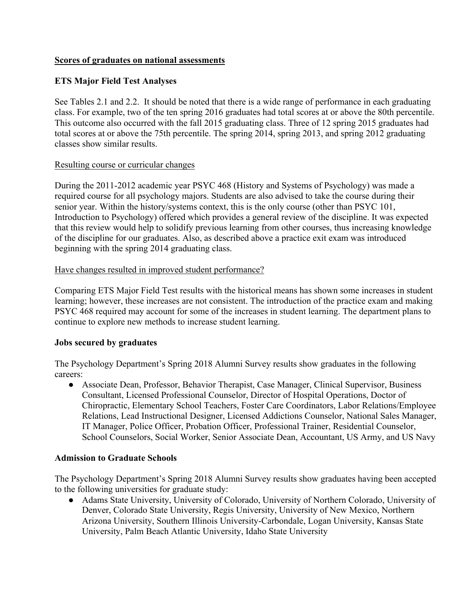#### **Scores of graduates on national assessments**

### **ETS Major Field Test Analyses**

See Tables 2.1 and 2.2. It should be noted that there is a wide range of performance in each graduating class. For example, two of the ten spring 2016 graduates had total scores at or above the 80th percentile. This outcome also occurred with the fall 2015 graduating class. Three of 12 spring 2015 graduates had total scores at or above the 75th percentile. The spring 2014, spring 2013, and spring 2012 graduating classes show similar results.

#### Resulting course or curricular changes

During the 2011-2012 academic year PSYC 468 (History and Systems of Psychology) was made a required course for all psychology majors. Students are also advised to take the course during their senior year. Within the history/systems context, this is the only course (other than PSYC 101, Introduction to Psychology) offered which provides a general review of the discipline. It was expected that this review would help to solidify previous learning from other courses, thus increasing knowledge of the discipline for our graduates. Also, as described above a practice exit exam was introduced beginning with the spring 2014 graduating class.

#### Have changes resulted in improved student performance?

Comparing ETS Major Field Test results with the historical means has shown some increases in student learning; however, these increases are not consistent. The introduction of the practice exam and making PSYC 468 required may account for some of the increases in student learning. The department plans to continue to explore new methods to increase student learning.

#### **Jobs secured by graduates**

The Psychology Department's Spring 2018 Alumni Survey results show graduates in the following careers:

● Associate Dean, Professor, Behavior Therapist, Case Manager, Clinical Supervisor, Business Consultant, Licensed Professional Counselor, Director of Hospital Operations, Doctor of Chiropractic, Elementary School Teachers, Foster Care Coordinators, Labor Relations/Employee Relations, Lead Instructional Designer, Licensed Addictions Counselor, National Sales Manager, IT Manager, Police Officer, Probation Officer, Professional Trainer, Residential Counselor, School Counselors, Social Worker, Senior Associate Dean, Accountant, US Army, and US Navy

#### **Admission to Graduate Schools**

The Psychology Department's Spring 2018 Alumni Survey results show graduates having been accepted to the following universities for graduate study:

● Adams State University, University of Colorado, University of Northern Colorado, University of Denver, Colorado State University, Regis University, University of New Mexico, Northern Arizona University, Southern Illinois University-Carbondale, Logan University, Kansas State University, Palm Beach Atlantic University, Idaho State University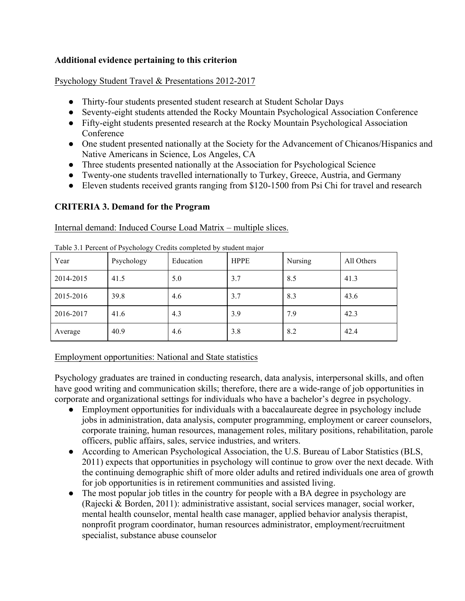#### **Additional evidence pertaining to this criterion**

#### Psychology Student Travel & Presentations 2012-2017

- Thirty-four students presented student research at Student Scholar Days
- Seventy-eight students attended the Rocky Mountain Psychological Association Conference
- Fifty-eight students presented research at the Rocky Mountain Psychological Association **Conference**
- One student presented nationally at the Society for the Advancement of Chicanos/Hispanics and Native Americans in Science, Los Angeles, CA
- Three students presented nationally at the Association for Psychological Science
- Twenty-one students travelled internationally to Turkey, Greece, Austria, and Germany
- Eleven students received grants ranging from \$120-1500 from Psi Chi for travel and research

### **CRITERIA 3. Demand for the Program**

#### Internal demand: Induced Course Load Matrix – multiple slices.

| Year      | - - , ----- 0 ,<br>Psychology | Education | <b>HPPE</b> | Nursing | All Others |
|-----------|-------------------------------|-----------|-------------|---------|------------|
| 2014-2015 | 41.5                          | 5.0       | 3.7         | 8.5     | 41.3       |
| 2015-2016 | 39.8                          | 4.6       | 3.7         | 8.3     | 43.6       |
| 2016-2017 | 41.6                          | 4.3       | 3.9         | 7.9     | 42.3       |
| Average   | 40.9                          | 4.6       | 3.8         | 8.2     | 42.4       |

Table 3.1 Percent of Psychology Credits completed by student major

#### Employment opportunities: National and State statistics

Psychology graduates are trained in conducting research, data analysis, interpersonal skills, and often have good writing and communication skills; therefore, there are a wide-range of job opportunities in corporate and organizational settings for individuals who have a bachelor's degree in psychology.

- Employment opportunities for individuals with a baccalaureate degree in psychology include jobs in administration, data analysis, computer programming, employment or career counselors, corporate training, human resources, management roles, military positions, rehabilitation, parole officers, public affairs, sales, service industries, and writers.
- According to American Psychological Association, the U.S. Bureau of Labor Statistics (BLS, 2011) expects that opportunities in psychology will continue to grow over the next decade. With the continuing demographic shift of more older adults and retired individuals one area of growth for job opportunities is in retirement communities and assisted living.
- The most popular job titles in the country for people with a BA degree in psychology are (Rajecki & Borden, 2011): administrative assistant, social services manager, social worker, mental health counselor, mental health case manager, applied behavior analysis therapist, nonprofit program coordinator, human resources administrator, employment/recruitment specialist, substance abuse counselor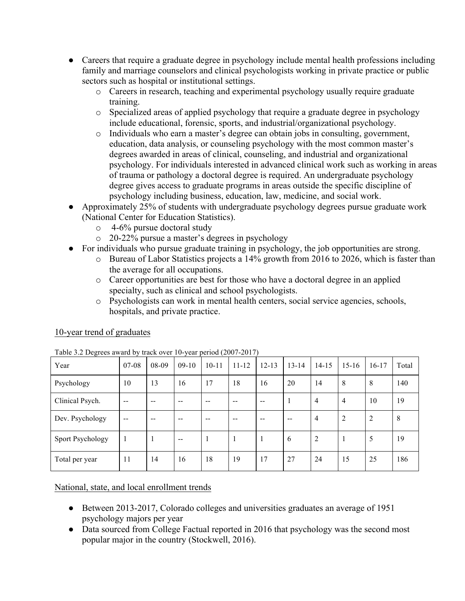- Careers that require a graduate degree in psychology include mental health professions including family and marriage counselors and clinical psychologists working in private practice or public sectors such as hospital or institutional settings.
	- o Careers in research, teaching and experimental psychology usually require graduate training.
	- o Specialized areas of applied psychology that require a graduate degree in psychology include educational, forensic, sports, and industrial/organizational psychology.
	- o Individuals who earn a master's degree can obtain jobs in consulting, government, education, data analysis, or counseling psychology with the most common master's degrees awarded in areas of clinical, counseling, and industrial and organizational psychology. For individuals interested in advanced clinical work such as working in areas of trauma or pathology a doctoral degree is required. An undergraduate psychology degree gives access to graduate programs in areas outside the specific discipline of psychology including business, education, law, medicine, and social work.
- Approximately 25% of students with undergraduate psychology degrees pursue graduate work (National Center for Education Statistics).
	- o 4-6% pursue doctoral study
	- o 20-22% pursue a master's degrees in psychology
- For individuals who pursue graduate training in psychology, the job opportunities are strong.
	- o Bureau of Labor Statistics projects a 14% growth from 2016 to 2026, which is faster than the average for all occupations.
	- o Career opportunities are best for those who have a doctoral degree in an applied specialty, such as clinical and school psychologists.
	- o Psychologists can work in mental health centers, social service agencies, schools, hospitals, and private practice.

| Table 3.2 Degrees award by track over 10-year period $(200/-2017)$ |               |       |         |           |           |           |           |                |                |                |         |
|--------------------------------------------------------------------|---------------|-------|---------|-----------|-----------|-----------|-----------|----------------|----------------|----------------|---------|
| Year                                                               | $07 - 08$     | 08-09 | $09-10$ | $10 - 11$ | $11 - 12$ | $12 - 13$ | $13 - 14$ | $14 - 15$      | $15-16$        | $16 - 17$      | Total   |
| Psychology                                                         | 10            | 13    | 16      | 17        | 18        | 16        | 20        | 14             | 8              | 8              | 140     |
| Clinical Psych.                                                    | $\sim$ $\sim$ | $- -$ | $- -$   | --        | $- -$     | $- -$     |           | $\overline{4}$ | $\overline{4}$ | 10             | 19      |
| Dev. Psychology                                                    | $\sim$ $\sim$ | $- -$ | --      |           | --        | --        | --        | $\overline{4}$ | 2              | $\overline{2}$ | $\,8\,$ |
| Sport Psychology                                                   |               |       | $- -$   |           |           |           | 6         | $\overline{2}$ |                | 5              | 19      |
| Total per year                                                     | 11            | 14    | 16      | 18        | 19        | 17        | 27        | 24             | 15             | 25             | 186     |

## 10-year trend of graduates

| Table 3.2 Degrees award by track over 10-year period (2007-2017) |  |
|------------------------------------------------------------------|--|
|                                                                  |  |

#### National, state, and local enrollment trends

- Between 2013-2017, Colorado colleges and universities graduates an average of 1951 psychology majors per year
- Data sourced from College Factual reported in 2016 that psychology was the second most popular major in the country (Stockwell, 2016).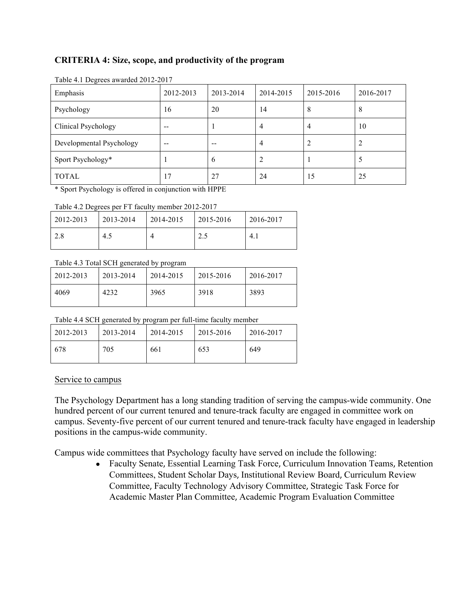### **CRITERIA 4: Size, scope, and productivity of the program**

| Emphasis                   | 2012-2013 | 2013-2014 | 2014-2015      | 2015-2016 | 2016-2017 |
|----------------------------|-----------|-----------|----------------|-----------|-----------|
| Psychology                 | 16        | 20        | 14             | 8         | 8         |
| <b>Clinical Psychology</b> | $- -$     |           | $\overline{4}$ | 4         | 10        |
| Developmental Psychology   | --        |           | $\overline{4}$ |           | 2         |
| Sport Psychology*          |           | 6         | 2              |           |           |
| <b>TOTAL</b>               | 17        | 27        | 24             | 15        | 25        |

Table 4.1 Degrees awarded 2012-2017

\* Sport Psychology is offered in conjunction with HPPE

#### Table 4.2 Degrees per FT faculty member 2012-2017

| 2012-2013 | 2013-2014 | 2014-2015 | 2015-2016          | 2016-2017 |
|-----------|-----------|-----------|--------------------|-----------|
|           | 4.5       |           | $\gamma$ 4<br>ن. ک |           |

#### Table 4.3 Total SCH generated by program

| 2012-2013 | 2013-2014 | 2014-2015 | 2015-2016 | 2016-2017 |
|-----------|-----------|-----------|-----------|-----------|
| 4069      | 4232      | 3965      | 3918      | 3893      |

Table 4.4 SCH generated by program per full-time faculty member

| 2012-2013 | 2013-2014 | 2014-2015 | 2015-2016 | 2016-2017 |
|-----------|-----------|-----------|-----------|-----------|
| 678       | 705       | 661       | 653       | 649       |

#### Service to campus

The Psychology Department has a long standing tradition of serving the campus-wide community. One hundred percent of our current tenured and tenure-track faculty are engaged in committee work on campus. Seventy-five percent of our current tenured and tenure-track faculty have engaged in leadership positions in the campus-wide community.

Campus wide committees that Psychology faculty have served on include the following:

• Faculty Senate, Essential Learning Task Force, Curriculum Innovation Teams, Retention Committees, Student Scholar Days, Institutional Review Board, Curriculum Review Committee, Faculty Technology Advisory Committee, Strategic Task Force for Academic Master Plan Committee, Academic Program Evaluation Committee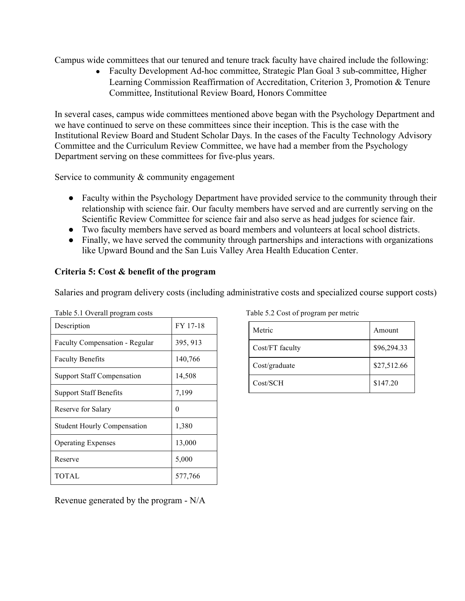Campus wide committees that our tenured and tenure track faculty have chaired include the following:

• Faculty Development Ad-hoc committee, Strategic Plan Goal 3 sub-committee, Higher Learning Commission Reaffirmation of Accreditation, Criterion 3, Promotion & Tenure Committee, Institutional Review Board, Honors Committee

In several cases, campus wide committees mentioned above began with the Psychology Department and we have continued to serve on these committees since their inception. This is the case with the Institutional Review Board and Student Scholar Days. In the cases of the Faculty Technology Advisory Committee and the Curriculum Review Committee, we have had a member from the Psychology Department serving on these committees for five-plus years.

Service to community & community engagement

- Faculty within the Psychology Department have provided service to the community through their relationship with science fair. Our faculty members have served and are currently serving on the Scientific Review Committee for science fair and also serve as head judges for science fair.
- Two faculty members have served as board members and volunteers at local school districts.
- Finally, we have served the community through partnerships and interactions with organizations like Upward Bound and the San Luis Valley Area Health Education Center.

## **Criteria 5: Cost & benefit of the program**

Salaries and program delivery costs (including administrative costs and specialized course support costs)

| Description                        | FY 17-18 |  |  |  |
|------------------------------------|----------|--|--|--|
| Faculty Compensation - Regular     | 395, 913 |  |  |  |
| <b>Faculty Benefits</b>            | 140,766  |  |  |  |
| <b>Support Staff Compensation</b>  | 14,508   |  |  |  |
| <b>Support Staff Benefits</b>      | 7,199    |  |  |  |
| Reserve for Salary                 | 0        |  |  |  |
| <b>Student Hourly Compensation</b> | 1,380    |  |  |  |
| <b>Operating Expenses</b>          | 13,000   |  |  |  |
| Reserve                            | 5,000    |  |  |  |
| <b>TOTAL</b>                       | 577.766  |  |  |  |

Table 5.1 Overall program costs Table 5.2 Cost of program per metric

| Metric          | Amount      |
|-----------------|-------------|
| Cost/FT faculty | \$96,294.33 |
| Cost/graduate   | \$27,512.66 |
| Cost/SCH        | \$147.20    |

Revenue generated by the program - N/A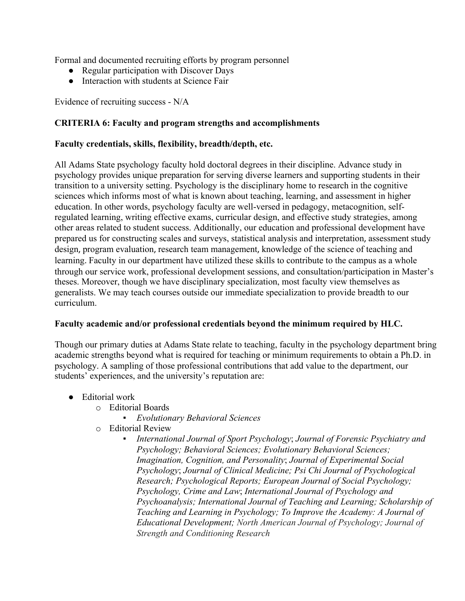Formal and documented recruiting efforts by program personnel

- Regular participation with Discover Days
- Interaction with students at Science Fair

Evidence of recruiting success - N/A

#### **CRITERIA 6: Faculty and program strengths and accomplishments**

#### **Faculty credentials, skills, flexibility, breadth/depth, etc.**

All Adams State psychology faculty hold doctoral degrees in their discipline. Advance study in psychology provides unique preparation for serving diverse learners and supporting students in their transition to a university setting. Psychology is the disciplinary home to research in the cognitive sciences which informs most of what is known about teaching, learning, and assessment in higher education. In other words, psychology faculty are well-versed in pedagogy, metacognition, selfregulated learning, writing effective exams, curricular design, and effective study strategies, among other areas related to student success. Additionally, our education and professional development have prepared us for constructing scales and surveys, statistical analysis and interpretation, assessment study design, program evaluation, research team management, knowledge of the science of teaching and learning. Faculty in our department have utilized these skills to contribute to the campus as a whole through our service work, professional development sessions, and consultation/participation in Master's theses. Moreover, though we have disciplinary specialization, most faculty view themselves as generalists. We may teach courses outside our immediate specialization to provide breadth to our curriculum.

#### **Faculty academic and/or professional credentials beyond the minimum required by HLC.**

Though our primary duties at Adams State relate to teaching, faculty in the psychology department bring academic strengths beyond what is required for teaching or minimum requirements to obtain a Ph.D. in psychology. A sampling of those professional contributions that add value to the department, our students' experiences, and the university's reputation are:

- Editorial work
	- o Editorial Boards
		- *Evolutionary Behavioral Sciences*
	- o Editorial Review
		- *International Journal of Sport Psychology*; *Journal of Forensic Psychiatry and Psychology; Behavioral Sciences; Evolutionary Behavioral Sciences; Imagination, Cognition, and Personality*; *Journal of Experimental Social Psychology*; *Journal of Clinical Medicine; Psi Chi Journal of Psychological Research; Psychological Reports; European Journal of Social Psychology; Psychology, Crime and Law*; *International Journal of Psychology and Psychoanalysis; International Journal of Teaching and Learning; Scholarship of Teaching and Learning in Psychology; To Improve the Academy: A Journal of Educational Development; North American Journal of Psychology; Journal of Strength and Conditioning Research*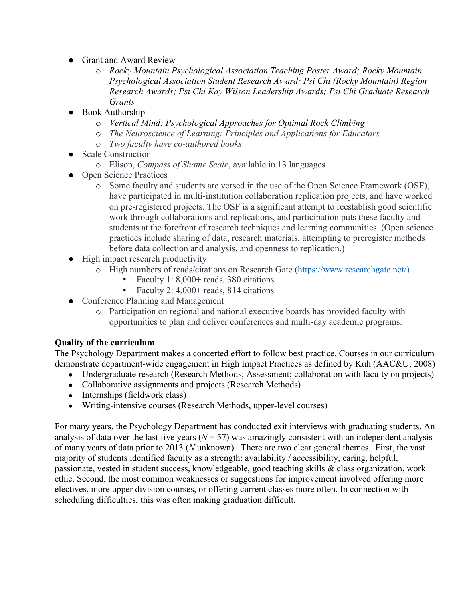- Grant and Award Review
	- o *Rocky Mountain Psychological Association Teaching Poster Award; Rocky Mountain Psychological Association Student Research Award; Psi Chi (Rocky Mountain) Region Research Awards; Psi Chi Kay Wilson Leadership Awards; Psi Chi Graduate Research Grants*
- **Book Authorship** 
	- o *Vertical Mind: Psychological Approaches for Optimal Rock Climbing*
	- o *The Neuroscience of Learning: Principles and Applications for Educators*
	- o *Two faculty have co-authored books*
- Scale Construction
	- o Elison, *Compass of Shame Scale*, available in 13 languages
- Open Science Practices
	- o Some faculty and students are versed in the use of the Open Science Framework (OSF), have participated in multi-institution collaboration replication projects, and have worked on pre-registered projects. The OSF is a significant attempt to reestablish good scientific work through collaborations and replications, and participation puts these faculty and students at the forefront of research techniques and learning communities. (Open science practices include sharing of data, research materials, attempting to preregister methods before data collection and analysis, and openness to replication.)
- High impact research productivity
	- o High numbers of reads/citations on Research Gate (https://www.researchgate.net/)
		- Faculty 1:  $8,000+$  reads, 380 citations
		- Faculty 2: 4,000+ reads, 814 citations
- Conference Planning and Management
	- o Participation on regional and national executive boards has provided faculty with opportunities to plan and deliver conferences and multi-day academic programs.

## **Quality of the curriculum**

The Psychology Department makes a concerted effort to follow best practice. Courses in our curriculum demonstrate department-wide engagement in High Impact Practices as defined by Kuh (AAC&U; 2008)

- Undergraduate research (Research Methods; Assessment; collaboration with faculty on projects)
- Collaborative assignments and projects (Research Methods)
- Internships (fieldwork class)
- Writing-intensive courses (Research Methods, upper-level courses)

For many years, the Psychology Department has conducted exit interviews with graduating students. An analysis of data over the last five years  $(N = 57)$  was amazingly consistent with an independent analysis of many years of data prior to 2013 (*N* unknown). There are two clear general themes. First, the vast majority of students identified faculty as a strength: availability / accessibility, caring, helpful, passionate, vested in student success, knowledgeable, good teaching skills & class organization, work ethic. Second, the most common weaknesses or suggestions for improvement involved offering more electives, more upper division courses, or offering current classes more often. In connection with scheduling difficulties, this was often making graduation difficult.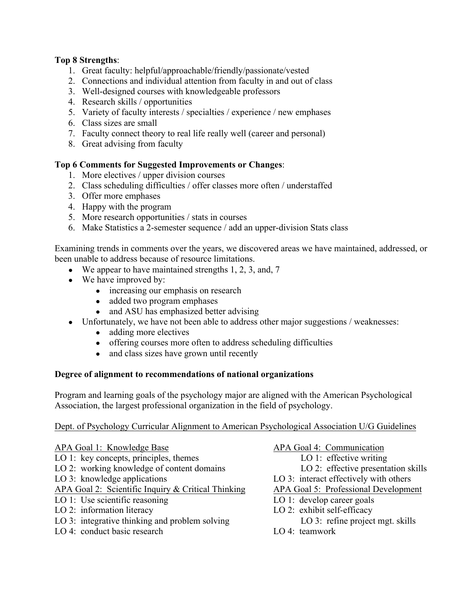### **Top 8 Strengths**:

- 1. Great faculty: helpful/approachable/friendly/passionate/vested
- 2. Connections and individual attention from faculty in and out of class
- 3. Well-designed courses with knowledgeable professors
- 4. Research skills / opportunities
- 5. Variety of faculty interests / specialties / experience / new emphases
- 6. Class sizes are small
- 7. Faculty connect theory to real life really well (career and personal)
- 8. Great advising from faculty

#### **Top 6 Comments for Suggested Improvements or Changes**:

- 1. More electives / upper division courses
- 2. Class scheduling difficulties / offer classes more often / understaffed
- 3. Offer more emphases
- 4. Happy with the program
- 5. More research opportunities / stats in courses
- 6. Make Statistics a 2-semester sequence / add an upper-division Stats class

Examining trends in comments over the years, we discovered areas we have maintained, addressed, or been unable to address because of resource limitations.

- We appear to have maintained strengths  $1, 2, 3$ , and,  $7$
- $\bullet$  We have improved by:
	- increasing our emphasis on research
	- added two program emphases
	- and ASU has emphasized better advising
- Unfortunately, we have not been able to address other major suggestions / weaknesses:
	- adding more electives
	- offering courses more often to address scheduling difficulties
	- and class sizes have grown until recently

#### **Degree of alignment to recommendations of national organizations**

Program and learning goals of the psychology major are aligned with the American Psychological Association, the largest professional organization in the field of psychology.

#### Dept. of Psychology Curricular Alignment to American Psychological Association U/G Guidelines

| APA Goal 1: Knowledge Base                         | APA Goal 4: Communication              |
|----------------------------------------------------|----------------------------------------|
| LO 1: key concepts, principles, themes             | LO 1: effective writing                |
| LO 2: working knowledge of content domains         | LO 2: effective presentation skills    |
| LO 3: knowledge applications                       | LO 3: interact effectively with others |
| APA Goal 2: Scientific Inquiry & Critical Thinking | APA Goal 5: Professional Development   |
| LO 1: Use scientific reasoning                     | LO 1: develop career goals             |
| LO 2: information literacy                         | LO 2: exhibit self-efficacy            |
| LO 3: integrative thinking and problem solving     | LO 3: refine project mgt. skills       |
| LO 4: conduct basic research                       | LO 4: teamwork                         |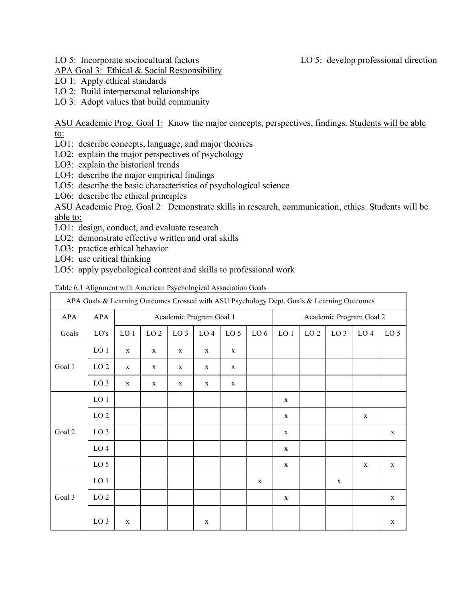LO 5: Incorporate sociocultural factors LO 5: develop professional direction

٦

- APA Goal 3: Ethical & Social Responsibility
- LO 1: Apply ethical standards
- LO 2: Build interpersonal relationships
- LO 3: Adopt values that build community

ASU Academic Prog. Goal 1: Know the major concepts, perspectives, findings. Students will be able to:

- LO1: describe concepts, language, and major theories
- LO2: explain the major perspectives of psychology
- LO3: explain the historical trends
- LO4: describe the major empirical findings
- LO5: describe the basic characteristics of psychological science
- LO6: describe the ethical principles

ASU Academic Prog. Goal 2: Demonstrate skills in research, communication, ethics. Students will be able to:

- LO1: design, conduct, and evaluate research
- LO2: demonstrate effective written and oral skills
- LO3: practice ethical behavior
- LO4: use critical thinking
- LO5: apply psychological content and skills to professional work

| APA Goals & Learning Outcomes Crossed with ASU Psychology Dept. Goals & Learning Outcomes |                 |                         |                 |                 |                 |                 |             |                         |                 |                 |                 |                 |  |
|-------------------------------------------------------------------------------------------|-----------------|-------------------------|-----------------|-----------------|-----------------|-----------------|-------------|-------------------------|-----------------|-----------------|-----------------|-----------------|--|
| APA                                                                                       | <b>APA</b>      | Academic Program Goal 1 |                 |                 |                 |                 |             | Academic Program Goal 2 |                 |                 |                 |                 |  |
| Goals                                                                                     | LO's            | LO <sub>1</sub>         | LO <sub>2</sub> | LO <sub>3</sub> | LO <sub>4</sub> | LO <sub>5</sub> | LO 6        | LO <sub>1</sub>         | LO <sub>2</sub> | LO <sub>3</sub> | LO <sub>4</sub> | LO <sub>5</sub> |  |
| Goal 1                                                                                    | LO 1            | X                       | X               | $\mathbf X$     | X               | X               |             |                         |                 |                 |                 |                 |  |
|                                                                                           | LO <sub>2</sub> | $\mathbf X$             | X               | X               | X               | X               |             |                         |                 |                 |                 |                 |  |
|                                                                                           | LO <sub>3</sub> | $\mathbf X$             | X               | X               | X               | $\mathbf X$     |             |                         |                 |                 |                 |                 |  |
| Goal 2                                                                                    | LO 1            |                         |                 |                 |                 |                 |             | $\mathbf X$             |                 |                 |                 |                 |  |
|                                                                                           | LO <sub>2</sub> |                         |                 |                 |                 |                 |             | $\mathbf X$             |                 |                 | X               |                 |  |
|                                                                                           | LO <sub>3</sub> |                         |                 |                 |                 |                 |             | $\mathbf X$             |                 |                 |                 | $\mathbf X$     |  |
|                                                                                           | LO <sub>4</sub> |                         |                 |                 |                 |                 |             | $\mathbf X$             |                 |                 |                 |                 |  |
|                                                                                           | LO <sub>5</sub> |                         |                 |                 |                 |                 |             | $\mathbf X$             |                 |                 | $\mathbf X$     | $\mathbf X$     |  |
| Goal 3                                                                                    | LO 1            |                         |                 |                 |                 |                 | $\mathbf X$ |                         |                 | $\mathbf X$     |                 |                 |  |
|                                                                                           | LO <sub>2</sub> |                         |                 |                 |                 |                 |             | $\mathbf X$             |                 |                 |                 | $\mathbf X$     |  |
|                                                                                           | LO <sub>3</sub> | $\mathbf X$             |                 |                 | X               |                 |             |                         |                 |                 |                 | $\mathbf X$     |  |

Table 6.1 Alignment with American Psychological Association Goals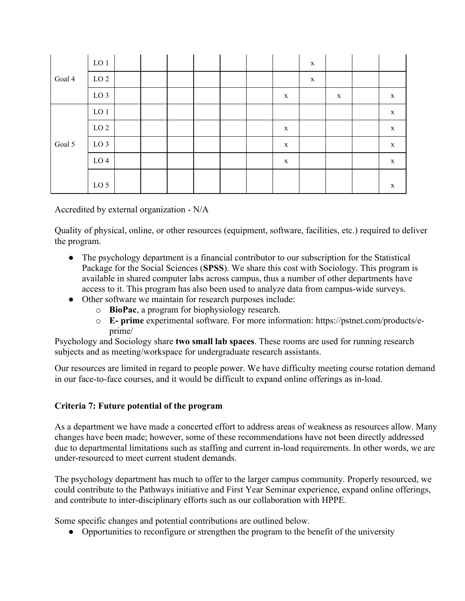|        | ${\rm LO}$ 1    |  |  |  |             | $\mathbf X$ |              |              |
|--------|-----------------|--|--|--|-------------|-------------|--------------|--------------|
| Goal 4 | LO <sub>2</sub> |  |  |  |             | $\mathbf X$ |              |              |
|        | LO <sub>3</sub> |  |  |  | $\mathbf X$ |             | $\mathbf{X}$ | X            |
| Goal 5 | ${\rm LO}$ 1    |  |  |  |             |             |              | $\mathbf{X}$ |
|        | LO <sub>2</sub> |  |  |  | $\mathbf X$ |             |              | $\mathbf{X}$ |
|        | LO <sub>3</sub> |  |  |  | $\mathbf X$ |             |              | $\mathbf{X}$ |
|        | LO <sub>4</sub> |  |  |  | $\mathbf X$ |             |              | $\mathbf X$  |
|        | LO <sub>5</sub> |  |  |  |             |             |              | X            |

Accredited by external organization - N/A

Quality of physical, online, or other resources (equipment, software, facilities, etc.) required to deliver the program.

- The psychology department is a financial contributor to our subscription for the Statistical Package for the Social Sciences (**SPSS**). We share this cost with Sociology. This program is available in shared computer labs across campus, thus a number of other departments have access to it. This program has also been used to analyze data from campus-wide surveys.
- Other software we maintain for research purposes include:
	- o **BioPac**, a program for biophysiology research.
	- o **E- prime** experimental software. For more information: https://pstnet.com/products/eprime/

Psychology and Sociology share **two small lab spaces**. These rooms are used for running research subjects and as meeting/workspace for undergraduate research assistants.

Our resources are limited in regard to people power. We have difficulty meeting course rotation demand in our face-to-face courses, and it would be difficult to expand online offerings as in-load.

#### **Criteria 7: Future potential of the program**

As a department we have made a concerted effort to address areas of weakness as resources allow. Many changes have been made; however, some of these recommendations have not been directly addressed due to departmental limitations such as staffing and current in-load requirements. In other words, we are under-resourced to meet current student demands.

The psychology department has much to offer to the larger campus community. Properly resourced, we could contribute to the Pathways initiative and First Year Seminar experience, expand online offerings, and contribute to inter-disciplinary efforts such as our collaboration with HPPE.

Some specific changes and potential contributions are outlined below.

• Opportunities to reconfigure or strengthen the program to the benefit of the university